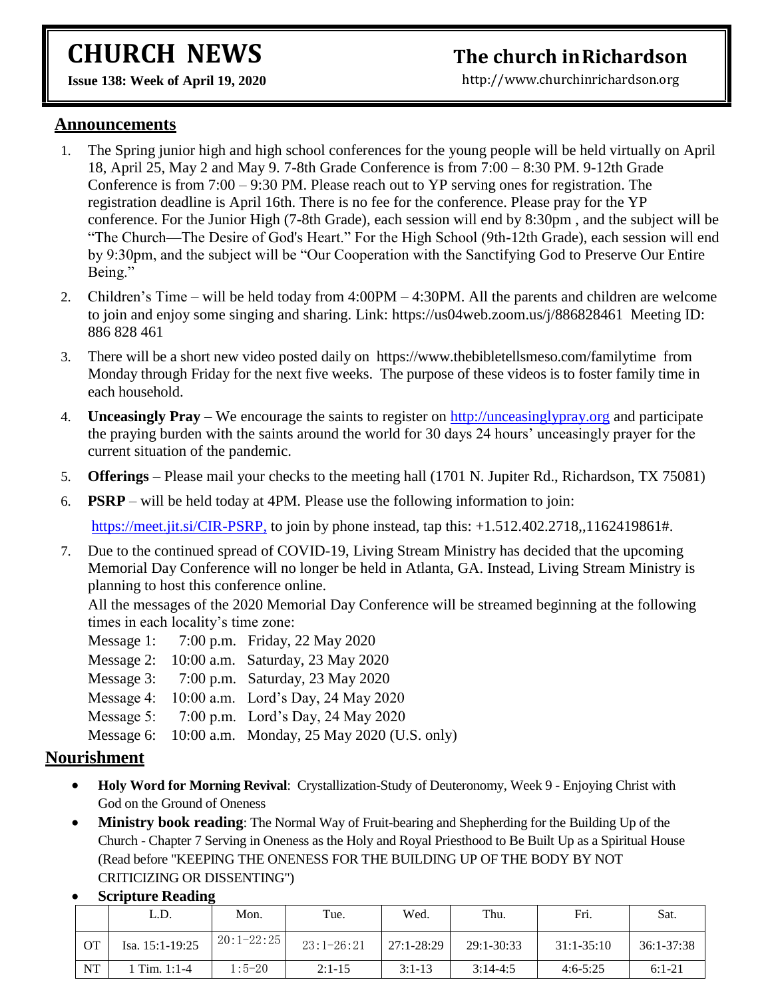# **CHURCH NEWS**

# **The church inRichardson**

[http://www.churchinrichardson.org](http://www.churchinrichardson.org/)

**Issue 138: Week of April 19, 2020** 

#### **Announcements**

- 1. The Spring junior high and high school conferences for the young people will be held virtually on April 18, April 25, May 2 and May 9. 7-8th Grade Conference is from 7:00 – 8:30 PM. 9-12th Grade Conference is from 7:00 – 9:30 PM. Please reach out to YP serving ones for registration. The registration deadline is April 16th. There is no fee for the conference. Please pray for the YP conference. For the Junior High (7-8th Grade), each session will end by 8:30pm , and the subject will be "The Church—The Desire of God's Heart." For the High School (9th-12th Grade), each session will end by 9:30pm, and the subject will be "Our Cooperation with the Sanctifying God to Preserve Our Entire Being."
- 2. Children's Time will be held today from 4:00PM 4:30PM. All the parents and children are welcome to join and enjoy some singing and sharing. Link: https://us04web.zoom.us/j/886828461 Meeting ID: 886 828 461
- 3. There will be a short new video posted daily on https://www.thebibletellsmeso.com/familytime from Monday through Friday for the next five weeks. The purpose of these videos is to foster family time in each household.
- 4. **Unceasingly Pray**  We encourage the saints to register on [http://unceasinglypray.org](http://unceasinglypray.org/) and participate the praying burden with the saints around the world for 30 days 24 hours' unceasingly prayer for the current situation of the pandemic.
- 5. **Offerings** Please mail your checks to the meeting hall (1701 N. Jupiter Rd., Richardson, TX 75081)
- 6. **PSRP** will be held today at 4PM. Please use the following information to join:

<https://meet.jit.si/CIR-PSRP,> to join by phone instead, tap this: +1.512.402.2718,,1162419861#.

7. Due to the continued spread of COVID-19, Living Stream Ministry has decided that the upcoming Memorial Day Conference will no longer be held in Atlanta, GA. Instead, Living Stream Ministry is planning to host this conference online.

All the messages of the 2020 Memorial Day Conference will be streamed beginning at the following times in each locality's time zone:

- Message 1: 7:00 p.m. Friday, 22 May 2020
- Message 2: 10:00 a.m. Saturday, 23 May 2020
- Message 3: 7:00 p.m. Saturday, 23 May 2020
- Message 4: 10:00 a.m. Lord's Day, 24 May 2020
- Message 5: 7:00 p.m. Lord's Day, 24 May 2020
- Message 6: 10:00 a.m. Monday, 25 May 2020 (U.S. only)

#### **Nourishment**

- **Holy Word for Morning Revival**: Crystallization-Study of Deuteronomy, Week 9 Enjoying Christ with God on the Ground of Oneness
- **Ministry book reading**: The Normal Way of Fruit-bearing and Shepherding for the Building Up of the Church - Chapter 7 Serving in Oneness as the Holy and Royal Priesthood to Be Built Up as a Spiritual House (Read before "KEEPING THE ONENESS FOR THE BUILDING UP OF THE BODY BY NOT CRITICIZING OR DISSENTING")
- **Scripture Reading**

|           | L.D.            | Mon.         | Tue.         | Wed.       | Thu.           | Fri.         | Sat.           |
|-----------|-----------------|--------------|--------------|------------|----------------|--------------|----------------|
| OT        | Isa. 15:1-19:25 | $20:1-22:25$ | $23:1-26:21$ | 27:1-28:29 | $29:1 - 30:33$ | $31:1-35:10$ | $36:1 - 37:38$ |
| <b>NT</b> | 1 Tim. $1:1-4$  | $1:5-20$     | $2:1-15$     | $3:1-13$   | $3:14-4:5$     | $4:6 - 5:25$ | $6:1-21$       |